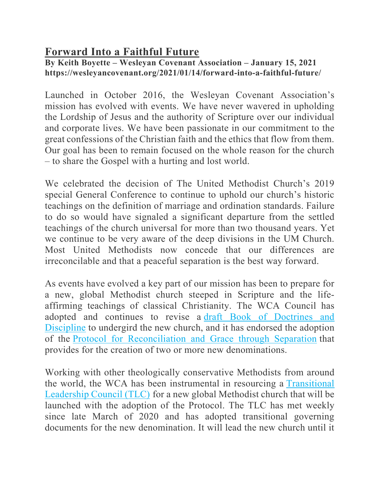## **Forward Into a Faithful Future**

## **By Keith Boyette – Wesleyan Covenant Association – January 15, 2021 https://wesleyancovenant.org/2021/01/14/forward-into-a-faithful-future/**

Launched in October 2016, the Wesleyan Covenant Association's mission has evolved with events. We have never wavered in upholding the Lordship of Jesus and the authority of Scripture over our individual and corporate lives. We have been passionate in our commitment to the great confessions of the Christian faith and the ethics that flow from them. Our goal has been to remain focused on the whole reason for the church – to share the Gospel with a hurting and lost world.

We celebrated the decision of The United Methodist Church's 2019 special General Conference to continue to uphold our church's historic teachings on the definition of marriage and ordination standards. Failure to do so would have signaled a significant departure from the settled teachings of the church universal for more than two thousand years. Yet we continue to be very aware of the deep divisions in the UM Church. Most United Methodists now concede that our differences are irreconcilable and that a peaceful separation is the best way forward.

As events have evolved a key part of our mission has been to prepare for a new, global Methodist church steeped in Scripture and the lifeaffirming teachings of classical Christianity. The WCA Council has adopted and continues to revise a draft Book of Doctrines and Discipline to undergird the new church, and it has endorsed the adoption of the Protocol for Reconciliation and Grace through Separation that provides for the creation of two or more new denominations.

Working with other theologically conservative Methodists from around the world, the WCA has been instrumental in resourcing a Transitional Leadership Council (TLC) for a new global Methodist church that will be launched with the adoption of the Protocol. The TLC has met weekly since late March of 2020 and has adopted transitional governing documents for the new denomination. It will lead the new church until it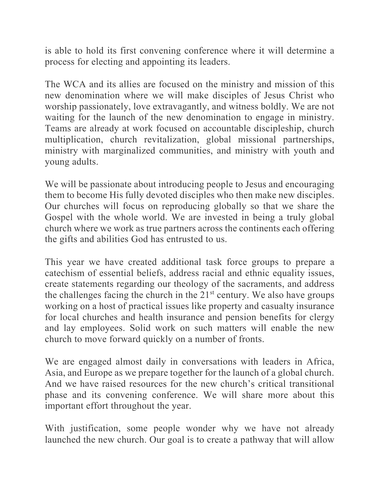is able to hold its first convening conference where it will determine a process for electing and appointing its leaders.

The WCA and its allies are focused on the ministry and mission of this new denomination where we will make disciples of Jesus Christ who worship passionately, love extravagantly, and witness boldly. We are not waiting for the launch of the new denomination to engage in ministry. Teams are already at work focused on accountable discipleship, church multiplication, church revitalization, global missional partnerships, ministry with marginalized communities, and ministry with youth and young adults.

We will be passionate about introducing people to Jesus and encouraging them to become His fully devoted disciples who then make new disciples. Our churches will focus on reproducing globally so that we share the Gospel with the whole world. We are invested in being a truly global church where we work as true partners across the continents each offering the gifts and abilities God has entrusted to us.

This year we have created additional task force groups to prepare a catechism of essential beliefs, address racial and ethnic equality issues, create statements regarding our theology of the sacraments, and address the challenges facing the church in the 21<sup>st</sup> century. We also have groups working on a host of practical issues like property and casualty insurance for local churches and health insurance and pension benefits for clergy and lay employees. Solid work on such matters will enable the new church to move forward quickly on a number of fronts.

We are engaged almost daily in conversations with leaders in Africa, Asia, and Europe as we prepare together for the launch of a global church. And we have raised resources for the new church's critical transitional phase and its convening conference. We will share more about this important effort throughout the year.

With justification, some people wonder why we have not already launched the new church. Our goal is to create a pathway that will allow